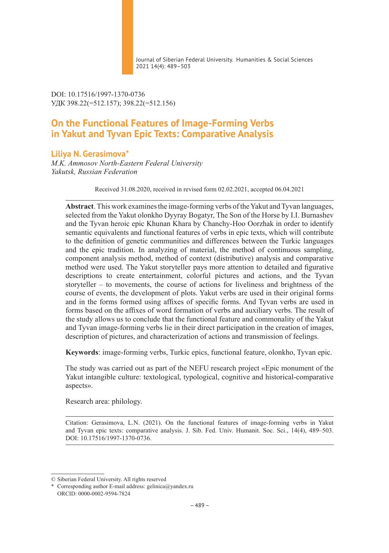Journal of Siberian Federal University. Humanities & Social Sciences 2021 14(4): 489–503

DOI: 10.17516/1997-1370-0736 УДК 398.22(=512.157); 398.22(=512.156)

# **On the Functional Features of Image-Forming Verbs in Yakut and Tyvan Epic Texts: Comparative Analysis**

## **Liliya N. Gerasimova\***

*M.K. Ammosov North-Eastern Federal University Yakutsk, Russian Federation*

Received 31.08.2020, received in revised form 02.02.2021, accepted 06.04.2021

**Abstract**. This work examines the image-forming verbs of the Yakut and Tyvan languages, selected from the Yakut olonkho Dyyray Bogatyr, The Son of the Horse by I.I. Burnashev and the Tyvan heroic epic Khunan Khara by Chanchy-Hoo Oorzhak in order to identify semantic equivalents and functional features of verbs in epic texts, which will contribute to the definition of genetic communities and differences between the Turkic languages and the epic tradition. In analyzing of material, the method of continuous sampling, component analysis method, method of context (distributive) analysis and comparative method were used. The Yakut storyteller pays more attention to detailed and figurative descriptions to create entertainment, colorful pictures and actions, and the Tyvan storyteller – to movements, the course of actions for liveliness and brightness of the course of events, the development of plots. Yakut verbs are used in their original forms and in the forms formed using affixes of specific forms. And Tyvan verbs are used in forms based on the affixes of word formation of verbs and auxiliary verbs. The result of the study allows us to conclude that the functional feature and commonality of the Yakut and Tyvan image-forming verbs lie in their direct participation in the creation of images, description of pictures, and characterization of actions and transmission of feelings.

**Keywords**: image-forming verbs, Turkic epics, functional feature, olonkho, Tyvan epic.

The study was carried out as part of the NEFU research project «Epic monument of the Yakut intangible culture: textological, typological, cognitive and historical-comparative aspects».

Research area: philology.

Citation: Gerasimova, L.N. (2021). On the functional features of image-forming verbs in Yakut and Tyvan epic texts: comparative analysis. J. Sib. Fed. Univ. Humanit. Soc. Sci., 14(4), 489–503. DOI: 10.17516/1997-1370-0736.

<sup>©</sup> Siberian Federal University. All rights reserved

<sup>\*</sup> Corresponding author E-mail address: gelinica@yandex.ru ORCID: 0000-0002-9594-7824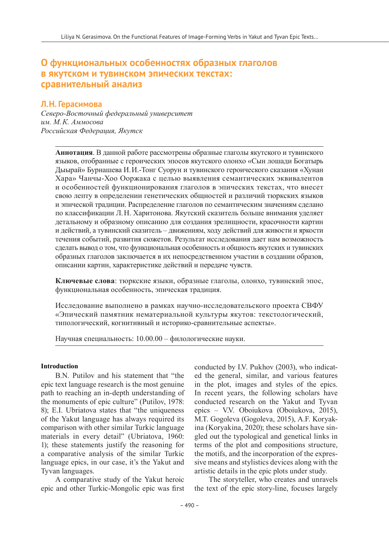## **О функциональных особенностях образных глаголов в якутском и тувинском эпических текстах: сравнительный анализ**

#### **Л.Н. Герасимова**

*Северо-Восточный федеральный университет им. М.К. Аммосова Российская Федерация, Якутск*

**Аннотация**. В данной работе рассмотрены образные глаголы якутского и тувинского языков, отобранные с героических эпосов якутского олонхо «Сын лошади Богатырь Дыырай» Бурнашева И.И.-Тонг Суорун и тувинского героического сказания «Хунан Хара» Чанчы-Хоо Ооржака с целью выявления семантических эквивалентов и особенностей функционирования глаголов в эпических текстах, что внесет свою лепту в определении генетических общностей и различий тюркских языков и эпической традиции. Распределение глаголов по семантическим значениям сделано по классификации Л.Н. Харитонова. Якутский сказитель больше внимания уделяет детальному и образному описанию для создания зрелищности, красочности картин и действий, а тувинский сказитель – движениям, ходу действий для живости и яркости течения событий, развития сюжетов. Результат исследования дает нам возможность сделать вывод о том, что функциональная особенность и общность якутских и тувинских образных глаголов заключается в их непосредственном участии в создании образов, описании картин, характеристике действий и передаче чувств.

**Ключевые слова**: тюркские языки, образные глаголы, олонхо, тувинский эпос, функциональная особенность, эпическая традиция.

Исследование выполнено в рамках научно-исследовательского проекта СВФУ «Эпический памятник нематериальной культуры якутов: текстологический, типологический, когнитивный и историко-сравнительные аспекты».

Научная специальность: 10.00.00 – филологические науки.

#### **Introduction**

B.N. Putilov and his statement that "the epic text language research is the most genuine path to reaching an in-depth understanding of the monuments of epic culture" (Putilov, 1978: 8); E.I. Ubriatova states that "the uniqueness of the Yakut language has always required its comparison with other similar Turkic language materials in every detail" (Ubriatova, 1960: 1); these statements justify the reasoning for a comparative analysis of the similar Turkic language epics, in our case, it's the Yakut and Tyvan languages.

A comparative study of the Yakut heroic epic and other Turkic-Mongolic epic was first conducted by I.V. Pukhov (2003), who indicated the general, similar, and various features in the plot, images and styles of the epics. In recent years, the following scholars have conducted research on the Yakut and Tyvan epics – V.V. Oboiukova (Oboiukova, 2015), M.T. Gogoleva (Gogoleva, 2015), A.F. Koryakina (Koryakina, 2020); these scholars have singled out the typological and genetical links in terms of the plot and compositions structure, the motifs, and the incorporation of the expressive means and stylistics devices along with the artistic details in the epic plots under study.

The storyteller, who creates and unravels the text of the epic story-line, focuses largely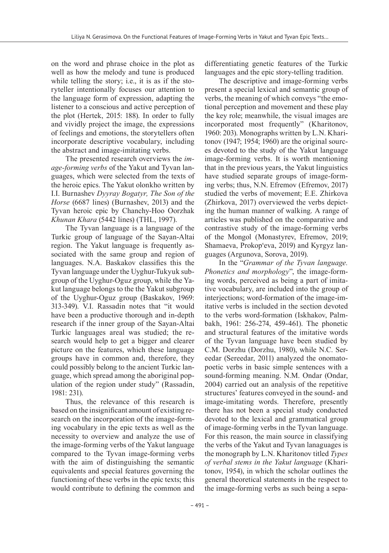on the word and phrase choice in the plot as well as how the melody and tune is produced while telling the story; i.e., it is as if the storyteller intentionally focuses our attention to the language form of expression, adapting the listener to a conscious and active perception of the plot (Hertek, 2015: 188). In order to fully and vividly project the image, the expressions of feelings and emotions, the storytellers often incorporate descriptive vocabulary, including the abstract and image-imitating verbs.

The presented research overviews the *image-forming verbs* of the Yakut and Tyvan languages, which were selected from the texts of the heroic epics. The Yakut olonkho written by I.I. Burnashev *Dyyray Bogatyr, The Son of the Horse* (6687 lines) (Burnashev, 2013) and the Tyvan heroic epic by Chanchy-Hoo Oorzhak *Khunan Khara* (5442 lines) (THL, 1997).

The Tyvan language is a language of the Turkic group of language of the Sayan-Altai region. The Yakut language is frequently associated with the same group and region of languages. N.A. Baskakov classifies this the Tyvan language under the Uyghur-Tukyuk subgroup of the Uyghur-Oguz group, while the Yakut language belongs to the the Yakut subgroup of the Uyghur-Oguz group (Baskakov, 1969: 313-349). V.I. Rassadin notes that "it would have been a productive thorough and in-depth research if the inner group of the Sayan-Altai Turkic languages areal was studied; the research would help to get a bigger and clearer picture on the features, which these language groups have in common and, therefore, they could possibly belong to the ancient Turkic language, which spread among the aboriginal population of the region under study" (Rassadin, 1981: 231).

Thus, the relevance of this research is based on the insignificant amount of existing research on the incorporation of the image-forming vocabulary in the epic texts as well as the necessity to overview and analyze the use of the image-forming verbs of the Yakut language compared to the Tyvan image-forming verbs with the aim of distinguishing the semantic equivalents and special features governing the functioning of these verbs in the epic texts; this would contribute to defining the common and

differentiating genetic features of the Turkic languages and the epic story-telling tradition.

The descriptive and image-forming verbs present a special lexical and semantic group of verbs, the meaning of which conveys "the emotional perception and movement and these play the key role; meanwhile, the visual images are incorporated most frequently" (Kharitonov, 1960: 203). Monographs written by L.N. Kharitonov (1947; 1954; 1960) are the original sources devoted to the study of the Yakut language image-forming verbs. It is worth mentioning that in the previous years, the Yakut linguistics have studied separate groups of image-forming verbs; thus, N.N. Efremov (Efremov, 2017) studied the verbs of movement; E.E. Zhirkova (Zhirkova, 2017) overviewed the verbs depicting the human manner of walking. A range of articles was published on the comparative and contrastive study of the image-forming verbs of the Mongol (Monastyrev, Efremov, 2019; Shamaeva, Prokopʻeva, 2019) and Kyrgyz languages (Argunova, Sorova, 2019).

In the "*Grammar of the Tyvan language. Phonetics and morphology*", the image-forming words, perceived as being a part of imitative vocabulary, are included into the group of interjections; word-formation of the image-imitative verbs is included in the section devoted to the verbs word-formation (Iskhakov, Palmbakh, 1961: 256-274, 459-461). The phonetic and structural features of the imitative words of the Tyvan language have been studied by C.M. Dorzhu (Dorzhu, 1980), while N.C. Sereedar (Sereedar, 2011) analyzed the onomatopoetic verbs in basic simple sentences with a sound-forming meaning. N.M. Ondar (Ondar, 2004) carried out an analysis of the repetitive structures' features conveyed in the sound- and image-imitating words. Therefore, presently there has not been a special study conducted devoted to the lexical and grammatical group of image-forming verbs in the Tyvan language. For this reason, the main source in classifying the verbs of the Yakut and Tyvan lanaguages is the monograph by L.N. Kharitonov titled *Types of verbal stems in the Yakut language* (Kharitonov, 1954), in which the scholar outlines the general theoretical statements in the respect to the image-forming verbs as such being a sepa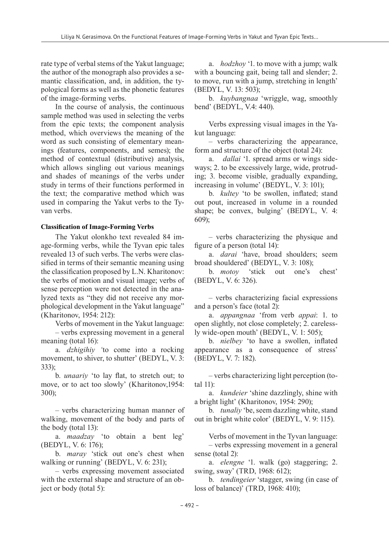rate type of verbal stems of the Yakut language; the author of the monograph also provides a semantic classification, and, in addition, the typological forms as well as the phonetic features of the image-forming verbs.

In the course of analysis, the continuous sample method was used in selecting the verbs from the epic texts; the component analysis method, which overviews the meaning of the word as such consisting of elementary meanings (features, components, and semes); the method of contextual (distributive) analysis, which allows singling out various meanings and shades of meanings of the verbs under study in terms of their functions performed in the text; the comparative method which was used in comparing the Yakut verbs to the Tyvan verbs.

#### **Classification of Image-Forming Verbs**

The Yakut olonkho text revealed 84 image-forming verbs, while the Tyvan epic tales revealed 13 of such verbs. The verbs were classified in terms of their semantic meaning using the classification proposed by L.N. Kharitonov: the verbs of motion and visual image; verbs of sense perception were not detected in the analyzed texts as "they did not receive any morphological development in the Yakut language" (Kharitonov, 1954: 212):

Verbs of movement in the Yakut language: – verbs expressing movement in a general meaning (total 16):

a. *dzhigihiy '*to come into a rocking movement, to shiver, to shutter' (BEDYL, V. 3: 333);

b. *unaariy* 'to lay flat, to stretch out; to move, or to act too slowly' (Kharitonov,1954: 300);

– verbs characterizing human manner of walking, movement of the body and parts of the body (total 13):

a. *maadzay* 'to obtain a bent leg' (BEDYL, V. 6: 176);

b. *maray* 'stick out one's chest when walking or running' (BEDYL, V. 6: 231);

– verbs expressing movement associated with the external shape and structure of an object or body (total 5):

a. *hodzhoy* '1. to move with a jump; walk with a bouncing gait, being tall and slender; 2. to move, run with a jump, stretching in length' (BEDYL, V. 13: 503);

b. *kuybangnaa* 'wriggle, wag, smoothly bend' (BEDYL, V.4: 440).

Verbs expressing visual images in the Yakut language:

– verbs characterizing the appearance, form and structure of the object (total 24):

a. *dallai* '1. spread arms or wings sideways; 2. to be excessively large, wide, protruding; 3. become visible, gradually expanding, increasing in volume' (BEDYL, V. 3: 101);

b. *kultey* 'to be swollen, inflated; stand out pout, increased in volume in a rounded shape; be convex, bulging' (BEDYL, V. 4: 609);

– verbs characterizing the physique and figure of a person (total 14):

a. *darai* 'have, broad shoulders; seem broad shouldered' (BEDYL, V. 3: 108);

b. *motoy* 'stick out one's chest' (BEDYL, V. 6: 326).

– verbs characterizing facial expressions and a person's face (total 2):

a. *appangnaa* 'from verb *appai*: 1. to open slightly, not close completely; 2. carelessly wide-open mouth' (BEDYL, V. 1: 505);

b. *nielbey* 'to have a swollen, inflated appearance as a consequence of stress' (BEDYL, V. 7: 182).

– verbs characterizing light perception (total 11):

a. *kundeier* 'shine dazzlingly, shine with a bright light' (Kharitonov, 1954: 290);

b. *tunaliy* 'be, seem dazzling white, stand out in bright white color' (BEDYL, V. 9: 115).

Verbs of movement in the Tyvan language:

– verbs expressing movement in a general sense (total 2):

a. *elengne* '1. walk (go) staggering; 2. swing, sway' (TRD, 1968: 612);

b. *tendingeier* 'stagger, swing (in case of loss of balance)' (TRD, 1968: 410);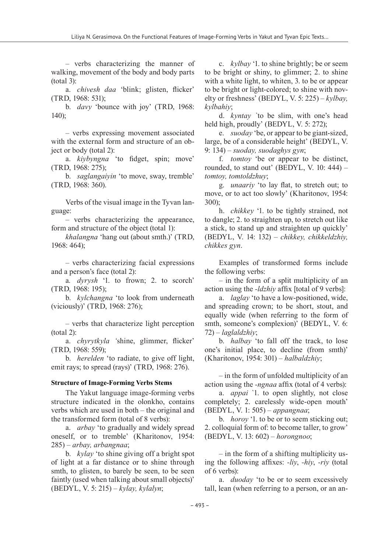– verbs characterizing the manner of walking, movement of the body and body parts (total 3):

a. *chivesh daa* 'blink; glisten, flicker' (TRD, 1968: 531);

b. *davy* 'bounce with joy' (TRD, 1968: 140);

– verbs expressing movement associated with the external form and structure of an object or body (total 2):

a. *kiybyngna* 'to fidget, spin; move' (TRD, 1968: 275);

b. *saglangaiyin* 'to move, sway, tremble' (TRD, 1968: 360).

Verbs of the visual image in the Tyvan language:

– verbs characterizing the appearance, form and structure of the object (total 1):

*khalangna* 'hang out (about smth.)' (TRD, 1968: 464);

– verbs characterizing facial expressions and a person's face (total 2):

a*. dyrysh* '1. to frown; 2. to scorch' (TRD, 1968: 195);

b. *kylchangna* 'to look from underneath (viciously)' (TRD, 1968: 276);

– verbs that characterize light perception (total 2):

a. *chyrytkyla '*shine, glimmer, flicker' (TRD, 1968: 559);

b. *herelden* 'to radiate, to give off light, emit rays; to spread (rays)' (TRD, 1968: 276).

#### **Structure of Image-Forming Verbs Stems**

The Yakut language image-forming verbs structure indicated in the olonkho, contains verbs which are used in both – the original and the transformed form (total of 8 verbs):

a. *arbay* 'to gradually and widely spread oneself, or to tremble' (Kharitonov, 1954: 285) – *arbay, arbangnaa*;

b. *kylay* 'to shine giving off a bright spot of light at a far distance or to shine through smth, to glisten, to barely be seen, to be seen faintly (used when talking about small objects)' (BEDYL, V. 5: 215) – *kylay, kylalyn*;

c. *kylbay* '1. to shine brightly; be or seem to be bright or shiny, to glimmer; 2. to shine with a white light, to whiten, 3, to be or appear to be bright or light-colored; to shine with novelty or freshness' (BEDYL, V. 5: 225) – *kylbay, kylbahiy*;

d. *kyntay `*to be slim, with one's head held high, proudly' (BEDYL, V. 5: 272);

e. *suoday* 'be, or appear to be giant-sized, large, be of a considerable height' (BEDYL, V. 9: 134) – *suoday, suodaghys gyn*;

f. *tomtoy* 'be or appear to be distinct, rounded, to stand out' (BEDYL, V. 10: 444)  $$ *tomtoy, tomtoldzhuy*;

g. *unaariy* 'to lay flat, to stretch out; to move, or to act too slowly' (Kharitonov, 1954: 300);

h. *chikkey* '1. to be tightly strained, not to dangle; 2. to straighten up, to stretch out like a stick, to stand up and straighten up quickly' (BEDYL, V. 14: 132) – *chikkey, chikkeldzhiy, chikkes gyn*.

Examples of transformed forms include the following verbs:

– in the form of a split multiplicity of an action using the *-ldzhiy* affix [total of 9 verbs]:

a. *laglay* 'to have a low-positioned, wide, and spreading crown; to be short, stout, and equally wide (when referring to the form of smth, someone's complexion)' (BEDYL, V. 6: 72) – *laglaldzhiy*;

b. *halbay* 'to fall off the track, to lose one's initial place, to decline (from smth)' (Kharitonov, 1954: 301) – *halbaldzhiy*;

– in the form of unfolded multiplicity of an action using the *-ngnaa* affix (total of 4 verbs):

a. *appai* `1. to open slightly, not close completely; 2. carelessly wide-open mouth' (BEDYL, V. 1: 505) – *appangnaa*;

b. *horoy* '1. to be or to seem sticking out; 2. colloquial form of: to become taller, to grow' (BEDYL, V. 13: 602) – *horongnoo*;

– in the form of a shifting multiplicity using the following affixes: *-liy*, *-hiy*, *-riy* (total of 6 verbs):

a. *duoday* 'to be or to seem excessively tall, lean (when referring to a person, or an an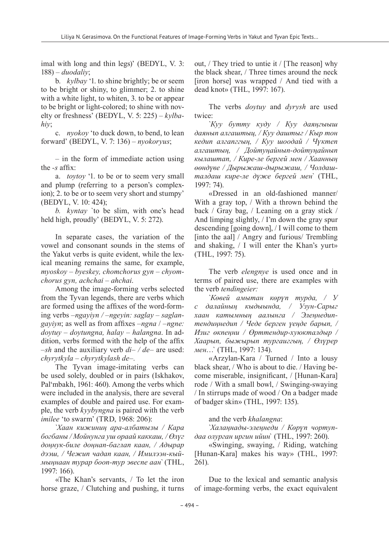imal with long and thin legs)' (BEDYL, V. 3: 188) – *duodaliy*;

b. *kylbay* '1. to shine brightly; be or seem to be bright or shiny, to glimmer; 2. to shine with a white light, to whiten, 3. to be or appear to be bright or light-colored; to shine with novelty or freshness' (BEDYL, V. 5: 225) – *kylbahiy*;

c. *nyokoy* 'to duck down, to bend, to lean forward' (BEDYL, V. 7: 136) – *nyokoryus*;

– in the form of immediate action using the *-s* affix:

a. *toytoy* '1. to be or to seem very small and plump (referring to a person's complexion); 2. to be or to seem very short and stumpy' (BEDYL, V. 10: 424);

*b. kyntay* `to be slim, with one's head held high, proudly' (BEDYL, V. 5: 272).

In separate cases, the variation of the vowel and consonant sounds in the stems of the Yakut verbs is quite evident, while the lexical meaning remains the same, for example, *myoskoy – byeskey, chomchorus gyn – chyomchorus gyn, achchai – ahchai*.

Among the image-forming verbs selected from the Tyvan legends, there are verbs which are formed using the affixes of the word-forming verbs *–ngayiyn / –ngeyin: saglay – saglangayiyn*; as well as from affixes *–ngna* / *–ngne: doytuy – doytungna, halay – halangna*. In addition, verbs formed with the help of the affix *–sh* and the auxiliary verb *di– / de–* are used: *chyrytkyla – chyrytkylash de–.* 

The Tyvan image-imitating verbs can be used solely, doubled or in pairs (Iskhakov, Palʻmbakh, 1961: 460). Among the verbs which were included in the analysis, there are several examples of double and paired use. For example, the verb *kyybyngna* is paired with the verb *imilee* 'to swarm' (TRD, 1968: 206):

`*Хаан кижиниң ара-албатызы / Кара богбаны / Мойнунга уш ораай каккаш, / Өлүг доңнук-биле доңнап-баглап каан, / Адырар дээш, / Чежип чадап каан, / Имилээн-кыймыңнаан турар бооп-тур эвеспе аан`* (THL, 1997: 166).

«The Khan's servants, / To let the iron horse graze, / Clutching and pushing, it turns out, / They tried to untie it / [The reason] why the black shear, / Three times around the neck [iron horse] was wrapped / And tied with a dead knot» (THL, 1997: 167).

The verbs *doytuy* and *dyrysh* are used twice:

`*Куу бутту куду / Куу даяңгыыш даянып алгаштыц, / Куу даштыг / Кыр тон кедип алгапггың, / Куу шоодай / Чүктеп алгаштың, / Дойтуңайнып-дойтуңайнып кылаштап, / Кире-ле бергей мен / Хаанның өөндүве / Дырыжаш-дырыжаш, / Чолдашталдаш кире-ле дүже бергей мен`* (THL, 1997: 74).

«Dressed in an old-fashioned manner/ With a gray top, / With a thrown behind the back / Gray bag, / Leaning on a gray stick / And limping slightly, / I'm down the gray spur descending [going down], / I will come to them [into the aal] / Angry and furious/ Trembling and shaking, / I will enter the Khan's yurt» (THL, 1997: 75).

The verb *elengnye* is used once and in terms of paired use, there are examples with the verb *tendingeier:*

`*Көвей амытан көрүп турда, / У с далайның кыдыында, / Узун-Сарыг хаан катымның аалынга / Элеңнедиптендиңнедип / Чеде берген үеңде барып, / Изиг өкпеңни / Өрттендир-хуюкталдыр / Хаарып, быжырып тургаиггың, / Өлүрер мен*…` (THL, 1997: 134).

«Arzylan-Kara / Turned / Into a lousy black shear, / Who is about to die. / Having become miserable, insignificant, / [Hunan-Kara] rode / With a small bowl, / Swinging-swaying / In stirrups made of wood / On a badger made of badger skin» (THL, 1997: 135).

and the verb *khalangna*:

`*Халаңнады-элеңнеди / Көрүп чортупдаа олурган иргин ийин*` (THL, 1997: 260).

«Swinging, swaying, / Riding, watching [Hunan-Kara] makes his way» (THL, 1997: 261).

Due to the lexical and semantic analysis of image-forming verbs, the exact equivalent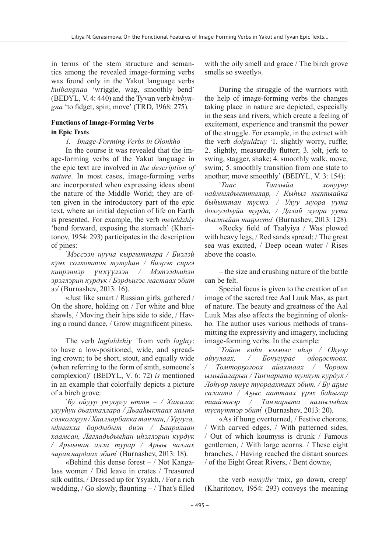in terms of the stem structure and semantics among the revealed image-forming verbs was found only in the Yakut language verbs *kuibangnaa* 'wriggle, wag, smoothly bend' (BEDYL, V. 4: 440) and the Tyvan verb *kiybyngna* 'to fidget, spin; move' (TRD, 1968: 275).

### **Functions of Image-Forming Verbs in Epic Texts**

*1. Image-Forming Verbs in Olonkho*

In the course it was revealed that the image-forming verbs of the Yakut language in the epic text are involved in *the description of nature*. In most cases, image-forming verbs are incorporated when expressing ideas about the nature of the Middle World; they are often given in the introductory part of the epic text, where an initial depiction of life on Earth is presented. For example, the verb *meteldzhiy*  'bend forward, exposing the stomach' (Kharitonov, 1954: 293) participates in the description of pines:

`*Мэссээн нууча кыргыттара / Биэлэй күѳх солкоттон тутуhан / Биэрэк сиргэ киирэннэр үҥкүүлээн / Мэтэлдьиhэн эрэллэрин курдук / Бэрдьигэс мастаах эбит ээ`* (Burnashev, 2013: 16).

«Just like smart / Russian girls, gathered / On the shore, holding on / For white and blue shawls, / Moving their hips side to side, / Having a round dance, / Grow magnificent pines».

The verb *laglaldzhiy `*from verb *laglay*: to have a low-positioned, wide, and spreading crown; to be short, stout, and equally wide (when referring to the form of smth, someone's complexion)' (BEDYL, V. 6: 72) *is* mentioned in an example that colorfully depicts a picture of a birch grove:

`*Бу ойуур уҥуоргу ѳттѳ – / Хаҥалас улууhун дьахталлара / Дьааhыктаах хампа солколорун /Хаалларбакка таҥнан, /Урууга, ыhыахха бардыбыт диэн / Бааралаан хаамсан, Лагладьдьыhан иhэллэрин курдук / Арыынан алла турар / Арыы чаллах чараҥнардаах эбит*` (Burnashev, 2013: 18).

«Behind this dense forest  $-$  / Not Kangalass women / Did leave in crates / Treasured silk outfits, / Dressed up for Ysyakh, / For a rich wedding,  $/$  Go slowly, flaunting  $-$  / That's filled

with the oily smell and grace / The birch grove smells so sweetly».

During the struggle of the warriors with the help of image-forming verbs the changes taking place in nature are depicted, especially in the seas and rivers, which create a feeling of excitement, experience and transmit the power of the struggle. For example, in the extract with the verb *dolguldzuy* '1. slightly worry, ruffle; 2. slightly, measuredly flutter; 3. jolt, jerk to swing, stagger, shake; 4. smoothly walk, move, swim; 5. smoothly transition from one state to another; move smoothly' (BEDYL, V. 3: 154):

`*Таас Таалыйа хонууну наймылдьыттылар, / Кыhыл кыппыайка быhыттан түстэ. / Улуу муора уута долгулдьуйа турда, / Далай муора уута дьалкыйан таҕыста*` (Burnashev, 2013: 128).

«Rocky field of Taalyiya / Was plowed with heavy legs, / Red sands spread; / The great sea was excited, / Deep ocean water / Rises above the coast».

– the size and crushing nature of the battle can be felt.

Special focus is given to the creation of an image of the sacred tree Aal Luuk Mas, as part of nature. The beauty and greatness of the Aal Luuk Mas also affects the beginning of olonkho. The author uses various methods of transmitting the expressivity and imagery, including image-forming verbs. In the example:

`*Тойон киhи кымыс иhэр / Оhуор ойуулаах, / Бочугурас ойоҕостоох, / Томторҕолоох айахтаах / Чороон ымыйаларын / Таҥнарыта туппут курдук / Лоhуор кѳмүс туораахтаах эбит. / Бу аҕыс салаата / Аҕыс ааттаах үрэх баhыгар тиийэннэр / Таҥнарыта намылыhан түспүттэр эбит*` (Burnashev, 2013: 20).

«As if hung overturned, / Festive chorons, / With carved edges, / With patterned sides, / Out of which koumyss is drunk / Famous gentlemen, / With large acorns. / These eight branches, / Having reached the distant sources / of the Eight Great Rivers, / Bent down»,

the verb *namyliy* 'mix, go down, creep' (Kharitonov, 1954: 293) conveys the meaning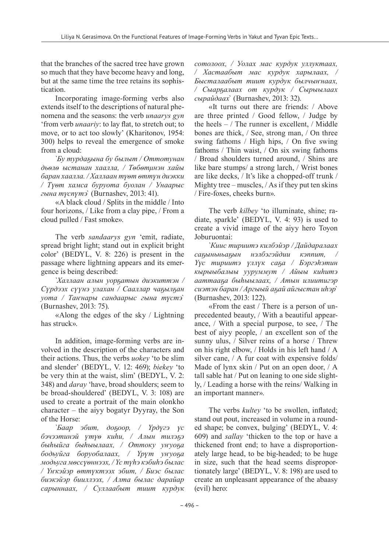that the branches of the sacred tree have grown so much that they have become heavy and long, but at the same time the tree retains its sophistication.

Incorporating image-forming verbs also extends itself to the descriptions of natural phenomena and the seasons: the verb *unaarys gyn* 'from verb *unaariy*: to lay flat, to stretch out; to move, or to act too slowly' (Kharitonov, 1954: 300) helps to reveal the emergence of smoke from a cloud:

`*Бу турдаҕына бу былыт / Оттотунан дьѳлѳ ыстанан хаалла, / Тѳбѳтμнэн хайы баран хаалла. / Халлаан түѳт ѳттүн диэкки / Түѳт хамса буруота буолан / Унаарыс гына түспүтэ*` (Burnashev, 2013: 41).

«A black cloud / Splits in the middle / Into four horizons, / Like from a clay pipe, / From a cloud pulled / Fast smoke».

The verb *sandaarys gyn* 'emit, radiate, spread bright light; stand out in explicit bright color' (BEDYL, V. 8: 226) is present in the passage where lightning appears and its emergence is being described:

`*Халлаан алын уорҕатын диэкиттэн / Сүрдээх сүүнэ улахан / Сааллар чаҕылҕан уота / Таҥнары сандаарыс гына түстэ*` (Burnashev, 2013: 75).

«Along the edges of the sky / Lightning has struck».

In addition, image-forming verbs are involved in the description of the characters and their actions. Thus, the verbs *uokey* 'to be slim and slender' (BEDYL, V. 12: 469); *biekey* 'to be very thin at the waist, slim' (BEDYL, V. 2: 348) and *daray* 'have, broad shoulders; seem to be broad-shouldered' (BEDYL, V. 3: 108) are used to create a portrait of the main olonkho character – the aiyy bogatyr Dyyray, the Son of the Horse:

`*Баар эбит, доҕоор, / Үрдүгэ үс бэчээтинэй үтүѳ киhи, / Алын тилэҕэ быhыйга быhыылаах, / Оттоку уҥуоҕа бодьуйга боруобалаах, / Үрүт уҥуоҕа модьуга мѳссүѳннээх, / Үс түhэ кэбиhэ былас / Үҥкэйэр ѳттүктээх эбит, / Биэс былас биэкэйэр бииллээх, / Алта былас дарайар сарыннаах, / Суллаабыт тиит курдук*

*сотолоох, / Уолах мас курдук уллуктаах, / Хастаабыт мас курдук харылаах, / Бысталаабыт тиит курдук былчыҥнаах, / Сыарҕaлаах от курдук / Сырыылаах сырайдаах*` (Burnashev, 2013: 32).

«It turns out there are friends: / Above are three printed / Good fellow, / Judge by the heels  $-$  / The runner is excellent,  $/$  Middle bones are thick, / See, strong man, / On three swing fathoms / High hips, / On five swing fathoms / Thin waist, / On six swing fathoms / Broad shoulders turned around, / Shins are like bare stumps/ a strong larch, / Wrist bones are like decks, / It's like a chopped-off trunk / Mighty tree – muscles, / As if they put ten skins / Fire-foxes, cheeks burn».

The verb *kilbey* 'to illuminate, shine; radiate, sparkle' (BEDYL, V. 4: 93) is used to create a vivid image of the aiyy hero Toyon Joburuontai:

`*Киис тириитэ килбэйэр / Дайдаралаах саҕыньньаҕын нэлбэгэйдии кэппит, / Үүс тириитэ үллүк саҕа / Бэргэhэтин кырыыбалыы ууруммут / Айыы киhитэ ааттааҕа быhыылаах, / Атын илиитигэр сиэтэн баран / Аргыый аҕай айгыстан иhэр*` (Burnashev, 2013: 122).

«From the east / There is a person of unprecedented beauty, / With a beautiful appearance, / With a special purpose, to see, / The best of aiyy people, / an excellent son of the sunny ulus, / Silver reins of a horse / Threw on his right elbow, / Holds in his left hand / A silver cane, / A fur coat with expensive folds/ Made of lynx skin / Put on an open door, / A tall sable hat / Put on leaning to one side slightly, / Leading a horse with the reins/ Walking in an important manner».

The verbs *kultey* 'to be swollen, inflated; stand out pout, increased in volume in a rounded shape; be convex, bulging' (BEDYL, V. 4: 609) and *sallay* 'thicken to the top or have a thickened front end; to have a disproportionately large head, to be big-headed; to be huge in size, such that the head seems disproportionately large' (BEDYL, V. 8: 198) are used to create an unpleasant appearance of the abaasy (evil) hero: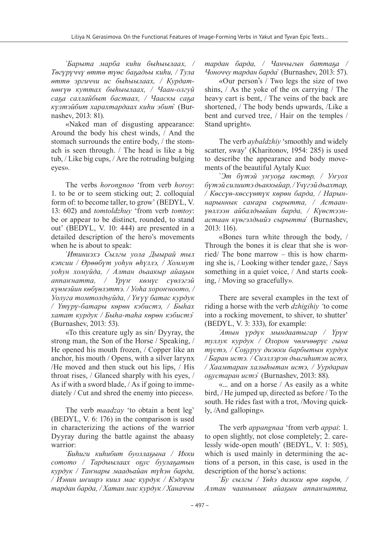`*Барыта марба киhи быhыылаах, / Тѳгүрүччү ѳттѳ түѳс баҕадьы киhи, / Тула ѳттѳ эргиччи ис быhыылаах, / Курдатнѳҥүѳ куттах быhыылаах, / Чаан-олгуй саҕа саллайбыт бастаах, / Чааскы саҕа күлтэйбит харахтардаах киhи эбит*` (Burnashev, 2013: 81).

«Naked man of disgusting appearance: Around the body his chest winds, / And the stomach surrounds the entire body, / the stomach is seen through. / The head is like a big tub, / Like big cups, / Are the rotruding bulging eyes».

The verbs *horongnoo* 'from verb *horoy*: 1. to be or to seem sticking out; 2. colloquial form of: to become taller, to grow' (BEDYL, V. 13: 602) and *tomtoldzhuy* 'from verb *tomtoy*: be or appear to be distinct, rounded, to stand out' (BEDYL, V. 10: 444) are presented in a detailed description of the hero's movements when he is about to speak:

`*Итиниэхэ Сылгы уола Дыырай тыл кэпсии / Өрѳѳбүт уоhун ѳhүллэ, / Хоммут уоhун хомуйда, / Алтан дьаакыр айаҕын аппаҥнатта, / Үрүҥ кѳмүс сүѳлэгэй күѳмэйин кѳбүѳлэттэ. / Уоhа хороҥноото, / Уолуга томтолдьуйда, / Үҥүү батас курдук / Үтүрү-батары кѳрѳн кэбистэ, / Быhах хатат курдук / Быhа-таhа кѳрѳн кэбистэ*` (Burnashev, 2013: 53).

«To this creature ugly as sin/ Dyyray, the strong man, the Son of the Horse / Speaking, / He opened his mouth frozen, / Copper like an anchor, his mouth / Opens, with a silver larynx /He moved and then stuck out his lips, / His throat rises, / Glanced sharply with his eyes, / As if with a sword blade, / As if going to immediately / Cut and shred the enemy into pieces».

The verb *maadzay* 'to obtain a bent leg' (BEDYL, V. 6: 176) in the comparison is used in characterizing the actions of the warrior Dyyray during the battle against the abaasy warrior:

`*Биhиги киhибит буоллаҕына / Икки сотото / Тардыылаах оҕус буулаҕатын курдук / Таҥнары маадьайан түhэн барда, / Иэнин иҥиирэ киил мас курдук / Кэдэрги тардан барда, / Хатан мас курдук / Ханаччы*

*тардан барда, / Чанчыгын баттаҕа / Чоноччу тардан барда*` (Burnashev, 2013: 57).

«Our person's / Two legs the size of two shins, / As the yoke of the ox carrying / The heavy cart is bent, / The veins of the back are shortened, / The body bends upwards, /Like a bent and curved tree, / Hair on the temples / Stand upright».

The verb *aybaldzhiy* 'smoothly and widely scatter, sway' (Kharitonov, 1954: 285) is used to describe the appearance and body movements of the beautiful Aytaly Kuo:

`*Эт бүтэй уҥуоҕа кѳстѳр, / Уҥуох бүтэй силиитэ дьаккыйар, / Үчүгэй дьахтар, / Кѳссүѳ-кѳссүѳтүк кѳрѳн барда, / Нарыннарыннык саҥара сырытта, / Астаанүѳллээн айбалдьыйан барда, / Күѳстээнастаан күѳгэлдьийэ сырытта*` (Burnashev, 2013: 116).

«Bones turn white through the body, / Through the bones it is clear that she is worried/ The bone marrow – this is how charming she is, / Looking wither tender gaze, / Says something in a quiet voice, / And starts cooking, / Moving so gracefully».

There are several examples in the text of riding a horse with the verb *dzhigihiy '*to come into a rocking movement, to shiver, to shutter' (BEDYL, V. 3: 333), for example:

`*Атын үрдүк мындаатыгар / Үрүҥ туллук курдук / Олорон чѳмчѳѳрүс гына түстэ, / Соҕуруу диэкки барбытын курдук / Баран истэ. / Сиэллэрэн дьигиhитэн истэ, / Хаамтаран халыhытан истэ, / Уурдаран оҕустаран истэ*` (Burnashev, 2013: 88).

«... and on a horse / As easily as a white bird, / He jumped up, directed as before / To the south. He rides fast with a trot, /Moving quickly, /And galloping».

The verb *appangnaa* 'from verb *appai*: 1. to open slightly, not close completely; 2. carelessly wide-open mouth' (BEDYL, V. 1: 505), which is used mainly in determining the actions of a person, in this case, is used in the description of the horse's actions:

`*Бу сылгы / Үѳhэ диэкки ѳрѳ кѳрдѳ, / Алтан чааньньык айаҕын аппаҥнатта,*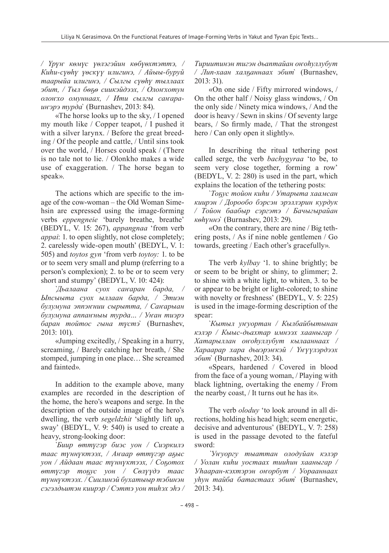*/ Үрүҥ кѳмүс үѳлэгэйин кѳбүѳхтэттэ, / Киhи-сүѳhү үѳскүү илигинэ, / Айыы-буруй таарыйа илигинэ, / Сылгы сүѳhү тыллаах эбит, / Тыл бѳҕѳ сиикэйдээх, / Олоҥхотун олоҥхо омуннаах, / Ити сылгы саҥараиҥэрэ турда*` (Burnashev, 2013: 84).

«The horse looks up to the sky, / I opened my mouth like / Copper teapot, / I pushed it with a silver larynx. / Before the great breeding / Of the people and cattle, / Until sins took over the world, / Horses could speak / (There is no tale not to lie. / Olonkho makes a wide use of exaggeration. / The horse began to speak».

The actions which are specific to the image of the cow-woman – the Old Woman Simehsin are expressed using the image-forming verbs *eppengneie* 'barely breathe, breathe' (BEDYL, V. 15: 267), *appangnaa* 'from verb *appai*: 1. to open slightly, not close completely; 2. carelessly wide-open mouth' (BEDYL, V. 1: 505) and *toytos gyn* 'from verb *toytoy:* 1. to be or to seem very small and plump (referring to a person's complexion); 2. to be or to seem very short and stumpy' (BEDYL, V. 10: 424):

`*Дьалаана суох саҥаран барда, / Ыпсыыта суох ыллаан барда, / Этиэн булумуна эппэҥнии сырытта, / Саҥарыан булумуна аппаҥныы турда… / Уҥан тиэрэ баран тойтос гына түстэ*` (Burnashev, 2013: 101).

«Jumping excitedly, / Speaking in a hurry, screaming, / Barely catching her breath, / She stomped, jumping in one place… She screamed and fainted».

In addition to the example above, many examples are recorded in the description of the home, the hero's weapons and serge. In the description of the outside image of the hero's dwelling, the verb *segeldzhit* 'slightly lift up, sway' (BEDYL, V. 9: 540) is used to create a heavy, strong-looking door:

`*Биир ѳттүгэр биэс уон / Сиэркилэ таас түннүктээх, / Аҥаар ѳттүгэр аҕыс уон / Айдаан таас түннүктээх, / Соҕотох ѳттүгэр тоҕус уон / Сѳлүүдэ таас түннүктээх. / Сиилинэй бухатыыр тэбинэн сэгэлдьитэн киирэр / Сэттэ уон тиhэх эhэ /*

*Тириитинэн тигэн дьаптайан оҥоhуллубут / Лип-хаан халҕаннаах эбит*` (Burnashev, 2013: 31).

«On one side / Fifty mirrored windows, / On the other half / Noisy glass windows, / On the only side / Ninety mica windows, / And the door is heavy / Sewn in skins / Of seventy large bears, / So firmly made, / That the strongest hero / Can only open it slightly».

In describing the ritual tethering post called serge, the verb *bachygyraa* 'to be, to seem very close together, forming a row' (BEDYL, V. 2: 280) is used in the part, which explains the location of the tethering posts:

`*Тоҕус тойон киhи / Утарыта хаамсан киирэн / Дорообо бэрсэн эрэллэрин курдук / Тойон баабыр сэргэтэ / Бачыгырайан кѳhүннэ*` (Burnashev, 2013: 29).

«On the contrary, there are nine / Big tethering posts, / As if nine noble gentlemen / Go towards, greeting / Each other's gracefully».

The verb *kylbay* '1. to shine brightly; be or seem to be bright or shiny, to glimmer; 2. to shine with a white light, to whiten, 3. to be or appear to be bright or light-colored; to shine with novelty or freshness' (BEDYL, V. 5: 225) is used in the image-forming description of the spear:

`*Кытыл уҥуортан / Кылбайбытынан кэлэр / Кыыс-дьахтар имнээх хааныгар / Хатарыллан оҥоhуллубут кылааннаах / Хараарар хара дьиэрэҥкэй / Үҥүүлэрдээх эбит*` (Burnashev, 2013: 34).

«Spears, hardened / Covered in blood from the face of a young woman, / Playing with black lightning, overtaking the enemy / From the nearby coast, / It turns out he has it».

The verb *oloduy* 'to look around in all directions, holding his head high; seem energetic, decisive and adventurous' (BEDYL, V. 7: 258) is used in the passage devoted to the fateful sword:

*`Уҥуоргу тыаттан олодуйан кэлэр / Уолан киhи уостаах тииhин хааныгар / Уhааран-кэхтэрэн оҥорбут / Уорааннаах уhун тайба батастаах эбит*` (Burnashev, 2013: 34).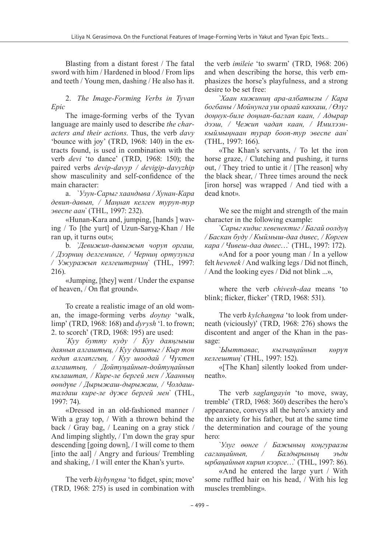Blasting from a distant forest / The fatal sword with him / Hardened in blood / From lips and teeth / Young men, dashing / He also has it.

2. *The Image-Forming Verbs in Tyvan Epic*

The image-forming verbs of the Tyvan language are mainly used to describe *the characters and their actions*. Thus, the verb *davy*  'bounce with joy' (TRD, 1968: 140) in the extracts found, is used in combination with the verb *devi* 'to dance' (TRD, 1968: 150); the paired verbs *devip-davyp / devigip-davyzhip* show masculinity and self-confidence of the main character:

a. `*Узун-Сарыг хаандыва / Хунан-Кара девип-давып, / Маңнап келген туруп-тур эвеспе аан`* (THL, 1997: 232).

«Hunan-Kara and, jumping, [hands ] waving / To [the yurt] of Uzun-Saryg-Khan / He ran up, it turns out»;

b. `*Девижип-давыжып чоруп оргаш, / Дээрниң делгеминге, / Черниң ортузунга / Ужуражып келгештерниң`* (THL, 1997: 216).

«Jumping, [they] went / Under the expanse of heaven, / On flat ground».

To create a realistic image of an old woman, the image-forming verbs *doytuy* 'walk, limp' (TRD, 1968: 168) and *dyrysh* '1. to frown; 2. to scorch' (TRD, 1968: 195) are used:

`*Куу бутту куду / Куу даяңгыыш даянып алгаштыц, / Куу даштыг / Кыр тон кедип алгапггың, / Куу шоодай / Чүктеп алгаштың, / Дойтуңайнып-дойтуңайнып кылаштап, / Кире-ле бергей мен / Хаанның өөндүве / Дырыжаш-дырыжаш, / Чолдашталдаш кире-ле дүже бергей мен`* (THL, 1997: 74).

«Dressed in an old-fashioned manner / With a gray top, / With a thrown behind the back / Gray bag, / Leaning on a gray stick / And limping slightly, / I'm down the gray spur descending [going down], / I will come to them [into the aal] / Angry and furious/ Trembling and shaking, / I will enter the Khan's yurt».

The verb *kiybyngna* 'to fidget, spin; move' (TRD, 1968: 275) is used in combination with the verb *imileie* 'to swarm' (TRD, 1968: 206) and when describing the horse, this verb emphasizes the horse's playfulness, and a strong desire to be set free:

`*Хаан кижиниң ара-албатызы / Кара богбаны / Мойнунга уш ораай каккаш, / Өлүг доңнук-биле доңнап-баглап каан, / Адырар дээш, / Чежип чадап каан, / Имилээнкыймыңнаан турар бооп-тур эвеспе аан`* (THL, 1997: 166).

«The Khan's servants, / To let the iron horse graze, / Clutching and pushing, it turns out, / They tried to untie it / [The reason] why the black shear, / Three times around the neck [iron horse] was wrapped / And tied with a dead knot».

We see the might and strength of the main character in the following example:

`*Сарыг кидис хевенектиг / Багай оолдуң / Баскан буду / Кыймыш-даа дивес, / Көрген кара / Чивеш-даа дивес*…` (THL, 1997: 172).

«And for a poor young man / In a yellow felt *hevenek* / And walking legs / Did not flinch, / And the looking eyes / Did not blink ...»,

where the verb *chivesh-daa* means 'to blink; flicker, flicker' (TRD, 1968: 531).

The verb *kylchangna* 'to look from underneath (viciously)' (TRD, 1968: 276) shows the discontent and anger of the Khan in the passage:

`*Ыыттавас, кылчаңайнып көрүп келгештиң`* (THL, 1997: 152).

«[The Khan] silently looked from underneath».

The verb *saglangayin* 'to move, sway, tremble' (TRD, 1968: 360) describes the hero's appearance, conveys all the hero's anxiety and the anxiety for his father, but at the same time the determination and courage of the young hero:

`*Улуг өөнге / Бажының коңгураазы саглаңайнып, / Балдырының эъди ырбаңайнып кирип кээрге*…` (THL, 1997: 86).

«And he entered the large yurt / With some ruffled hair on his head, / With his leg muscles trembling».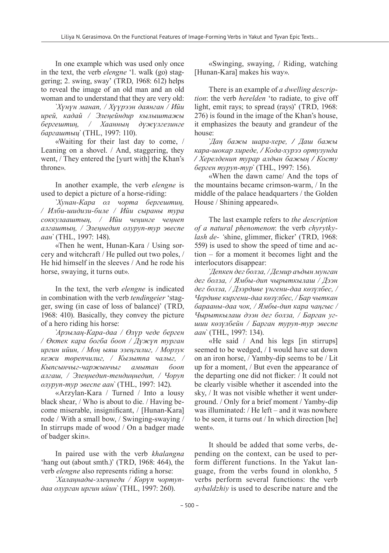In one example which was used only once in the text, the verb *elengne* '1. walk (go) staggering; 2. swing, sway' (TRD, 1968: 612) helps to reveal the image of an old man and an old woman and to understand that they are very old:

`*Хүнүн манап, / Хүүрээн даянган / Ийи ирей, кадай / Элеңейндир кылыштажы бергештиң, / Хаанның дүжүлгезинге баргаштыц`* (THL, 1997: 110).

«Waiting for their last day to come, / Leaning on a shovel. / And, staggering, they went, / They entered the [yurt with] the Khan's throne».

In another example, the verb *elengne* is used to depict a picture of a horse-riding:

`*Хунан-Кара ол чорта бергештиң, / Илби-шидизи-биле / Ийи сыраны тура соккулааштың, / Ийи чеңинге чеңнеп алгаштың, / Элеңнедип олуруп-тур эвеспе аан`* (THL, 1997: 148).

«Then he went, Hunan-Kara / Using sorcery and witchcraft / He pulled out two poles, / He hid himself in the sleeves / And he rode his horse, swaying, it turns out».

In the text, the verb *elengne* is indicated in combination with the verb *tendingeier* 'stagger, swing (in case of loss of balance)' (TRD, 1968: 410). Basically, they convey the picture of a hero riding his horse:

`*Арзылаң-Кара-даа / Өлүр чеде берген / Өктек кара богба бооп / Дүжүп турган иргин ийин, / Моң ыяш эзеңгилиг, / Морзук кежи төрепчилиг, / Кызытпа чалыг, / Кыпсынчыг-чаржынчыг амытан бооп алгаш, / Элеңнедип-тендиңнедип, / Чоруп олуруп-тур эвеспе аан`* (THL, 1997: 142).

«Arzylan-Kara / Turned / Into a lousy black shear, / Who is about to die. / Having become miserable, insignificant, / [Hunan-Kara] rode / With a small bow, / Swinging-swaying / In stirrups made of wood / On a badger made of badger skin».

In paired use with the verb *khalangna*  'hang out (about smth.)' (TRD, 1968: 464), the verb *elengne* also represents riding a horse:

`*Халаңнады-элеңнеди / Көрүп чортупдаа олурган иргин ийин`* (THL, 1997: 260).

«Swinging, swaying, / Riding, watching [Hunan-Kara] makes his way».

There is an example of *a dwelling description*: the verb *herelden* 'to radiate, to give off light, emit rays; to spread (rays)' (TRD, 1968: 276) is found in the image of the Khan's house, it emphasizes the beauty and grandeur of the house:

`*Даң бажы шара-хере, / Даш бажы кара-шокар хиреде, / Кода-хурээ ортузунда / Херелденип турар алдын бажың / Косту берген туруп-тур`* (THL, 1997: 156).

«When the dawn came/ And the tops of the mountains became crimson-warm, / In the middle of the palace headquarters / the Golden House / Shining appeared».

The last example refers to *the description of a natural phenomenon*: the verb *chyrytkylash de- '*shine, glimmer, flicker' (TRD, 1968: 559) is used to show the speed of time and action – for a moment it becomes light and the interlocutors disappear:

`*Депкен дег болза, / Демир аъдын мунган дег болза, / Ямбы-дип чырыткылаш / Дээн дег болза, / Дээрдиве үнгени-даа көзүлбес, / Чердиве киргени-даа көзүлбес, / Бар чыткан барааны-даа чок, / Ямбы-дип кара чаңгыс / Чырыткылаш дээн дег болза, / Барган угшии көзүлбейн / Барган туруп-тур эвеспе аан`* (THL, 1997: 134).

«He said / And his legs [in stirrups] seemed to be wedged, / I would have sat down on an iron horse, / Yamby-dip seems to be / Lit up for a moment, / But even the appearance of the departing one did not flicker: / It could not be clearly visible whether it ascended into the sky, / It was not visible whether it went underground. / Only for a brief moment / Yamby-dip was illuminated: / He left – and it was nowhere to be seen, it turns out / In which direction [he] went».

It should be added that some verbs, depending on the context, can be used to perform different functions. In the Yakut language, from the verbs found in olonkho, 5 verbs perform several functions: the verb *aybaldzhiy* is used to describe nature and the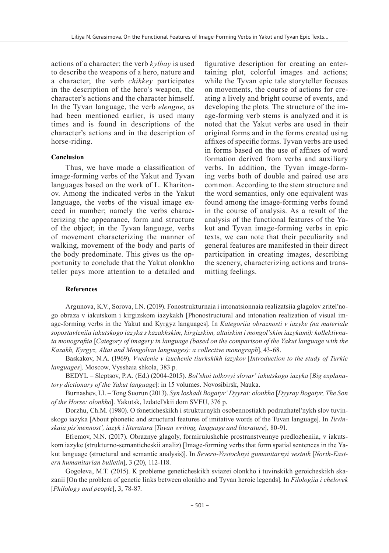actions of a character; the verb *kylbay* is used to describe the weapons of a hero, nature and a character; the verb *chikkey* participates in the description of the hero's weapon, the character's actions and the character himself. In the Tyvan language, the verb *elengne*, as had been mentioned earlier, is used many times and is found in descriptions of the character's actions and in the description of horse-riding.

#### **Conclusion**

Thus, we have made a classification of image-forming verbs of the Yakut and Tyvan languages based on the work of L. Kharitonov. Among the indicated verbs in the Yakut language, the verbs of the visual image exceed in number; namely the verbs characterizing the appearance, form and structure of the object; in the Tyvan language, verbs of movement characterizing the manner of walking, movement of the body and parts of the body predominate. This gives us the opportunity to conclude that the Yakut olonkho teller pays more attention to a detailed and

figurative description for creating an entertaining plot, colorful images and actions; while the Tyvan epic tale storyteller focuses on movements, the course of actions for creating a lively and bright course of events, and developing the plots. The structure of the image-forming verb stems is analyzed and it is noted that the Yakut verbs are used in their original forms and in the forms created using affixes of specific forms. Tyvan verbs are used in forms based on the use of affixes of word formation derived from verbs and auxiliary verbs. In addition, the Tyvan image-forming verbs both of double and paired use are common. According to the stem structure and the word semantics, only one equivalent was found among the image-forming verbs found in the course of analysis. As a result of the analysis of the functional features of the Yakut and Tyvan image-forming verbs in epic texts, we can note that their peculiarity and general features are manifested in their direct participation in creating images, describing the scenery, characterizing actions and transmitting feelings.

#### **References**

Argunova, K.V., Sorova, I.N. (2019). Fonostrukturnaia i intonatsionnaia realizatsiia glagolov zritel'nogo obraza v iakutskom i kirgizskom iazykakh [Phonostructural and intonation realization of visual image-forming verbs in the Yakut and Kyrgyz languages]. In *Kategoriia obraznosti v iazyke (na materiale sopostavleniia iakutskogo iazyka s kazakhskim, kirgizskim, altaiskim i mongol'skim iazykami): kollektivnaia monografiia* [*Category of imagery in language (based on the comparison of the Yakut language with the Kazakh, Kyrgyz, Altai and Mongolian languages): a collective monograph*], 43-68.

Baskakov, N.A. (1969). *Vvedenie v izuchenie tiurkskikh iazykov* [*Introduction to the study of Turkic languages*]. Moscow, Vysshaia shkola, 383 p.

BEDYL – Sleptsov, P.A. (Ed.) (2004-2015). *Bol'shoi tolkovyi slovar' iakutskogo iazyka* [*Big explanatory dictionary of the Yakut language*]: in 15 volumes. Novosibirsk, Nauka.

Burnashev, I.I. – Tong Suorun (2013). *Syn loshadi Bogatyr' Dyyrai: olonkho* [*Dyyray Bogatyr, The Son of the Horse: olonkho*]. Yakutsk, Izdatel'skii dom SVFU, 376 p.

Dorzhu, Ch.M. (1980). O foneticheskikh i strukturnykh osobennostiakh podrazhatel'nykh slov tuvinskogo iazyka [About phonetic and structural features of imitative words of the Tuvan language]. In *Tuvinskaia pis'mennost', iazyk i literatura* [*Tuvan writing, language and literature*], 80-91.

Efremov, N.N. (2017). Obraznye glagoly, formiruiushchie prostranstvennye predlozheniia, v iakutskom iazyke (strukturno-semanticheskii analiz) [Image-forming verbs that form spatial sentences in the Yakut language (structural and semantic analysis)]. In *Severo-Vostochnyi gumanitarnyi vestnik* [*North-Eastern humanitarian bulletin*], 3 (20), 112-118.

Gogoleva, M.T. (2015). K probleme geneticheskikh sviazei olonkho i tuvinskikh geroicheskikh skazanii [On the problem of genetic links between olonkho and Tyvan heroic legends]. In *Filologiia i chelovek*  [*Philology and people*], 3, 78-87.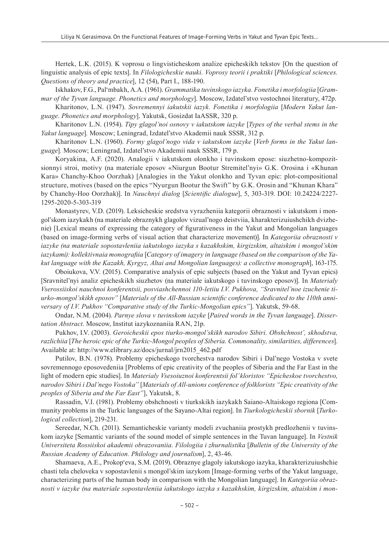Hertek, L.K. (2015). K voprosu o lingvisticheskom analize epicheskikh tekstov [On the question of linguistic analysis of epic texts]. In *Filologicheskie nauki. Voprosy teorii i praktiki* [*Philological sciences. Questions of theory and practice*], 12 (54), Part I., 188-190.

Iskhakov, F.G., Palʻmbakh, A.A. (1961). *Grammatika tuvinskogo iazyka. Fonetika i morfologiia* [*Grammar of the Tyvan language. Phonetics and morphology*]. Moscow, Izdatel'stvo vostochnoi literatury, 472p.

Kharitonov, L.N. (1947). *Sovremennyi iakutskii iazyk. Fonetika i morfologiia* [*Modern Yakut language. Phonetics and morphology*]. Yakutsk, Gosizdat IaASSR, 320 p.

Kharitonov L.N. (1954). *Tipy glagol'noi osnovy v iakutskom iazyke* [*Types of the verbal stems in the Yakut language*]*.* Moscow; Leningrad, Izdatel'stvo Akademii nauk SSSR, 312 p.

Kharitonov L.N. (1960). *Formy glagol'nogo vida v iakutskom iazyke* [*Verb forms in the Yakut language*]*.* Moscow; Leningrad, Izdatel'stvo Akademii nauk SSSR, 179 p.

Koryakina, A.F. (2020). Analogii v iakutskom olonkho i tuvinskom epose: siuzhetno-kompozitsionnyi stroi, motivy (na materiale eposov «Niurgun Bootur Stremitel'nyi» G.K. Orosina i «Khunan Kara» Chanchy-Khoo Oorzhak) [Analogies in the Yakut olonkho and Tyvan epic: plot-compositional structure, motives (based on the epics "Nyurgun Bootur the Swift" by G.K. Orosin and "Khunan Khara" by Chanchy-Hoo Oorzhak)]. In *Nauchnyi dialog* [*Scientific dialogue*], 5, 303-319. DOI: 10.24224/2227- 1295-2020-5-303-319

Monastyrev, V.D. (2019). Leksicheskie sredstva vyrazheniia kategorii obraznosti v iakutskom i mongol'skom iazykakh (na materiale obraznykh glagolov vizual'nogo deistviia, kharakterizuiushchikh dvizhenie) [Lexical means of expressing the category of figurativeness in the Yakut and Mongolian languages (based on image-forming verbs of visual action that characterize movement)]. In *Kategoriia obraznosti v iazyke (na materiale sopostavleniia iakutskogo iazyka s kazakhskim, kirgizskim, altaiskim i mongol'skim iazykami): kollektivnaia monografiia* [*Category of imagery in language (based on the comparison of the Yakut language with the Kazakh, Kyrgyz, Altai and Mongolian languages): a collective monograph*], 163-175.

Oboiukova, V.V. (2015). Comparative analysis of epic subjects (based on the Yakut and Tyvan epics) [Sravnitel'nyi analiz epicheskikh siuzhetov (na materiale iakutskogo i tuvinskogo eposov)]. In *Materialy Vserossiiskoi nauchnoi konferentsii, posviashchennoi 110-letiiu I.V. Pukhova, "Sravnitel'noe izuchenie tiurko-mongol'skikh eposov"* [*Materials of the All-Russian scientific conference dedicated to the 110th anniversary of I.V. Pukhov "Comparative study of the Turkic-Mongolian epics"*]. Yakutsk, 59-68.

Ondar, N.M. (2004). *Parnye slova v tuvinskom iazyke* [*Paired words in the Tyvan language*]. *Dissertation Abstract.* Moscow, Institut iazykoznaniia RAN, 21p.

Pukhov, I.V. (2003). *Geroicheskii epos tiurko-mongol'skikh narodov Sibiri. Obshchnost', skhodstva, razlichiia* [*The heroic epic of the Turkic-Mongol peoples of Siberia. Commonality, similarities, differences*]. Available at: http://www.elibrary.az/docs/jurnal/jrn2015\_462.pdf

Putilov, B.N. (1978). Problemy epicheskogo tvorchestva narodov Sibiri i Dal'nego Vostoka v svete sovremennogo eposovedeniia [Problems of epic creativity of the peoples of Siberia and the Far East in the light of modern epic studies]. In *Materialy Vsesoiuznoi konferentsii fol'kloristov "Epicheskoe tvorchestvo, narodov Sibiri i Dal'nego Vostoka"* [*Materials of All-unions conference of folklorists "Epic creativity of the peoples of Siberia and the Far East"*], Yakutsk, 8.

Rassadin, V.I. (1981). Problemy obshchnosti v tiurkskikh iazykakh Saiano-Altaiskogo regiona [Community problems in the Turkic languages of the Sayano-Altai region]. In *Tiurkologicheskii sbornik* [*Turkological collection*], 219-231.

Sereedar, N.Ch. (2011). Semanticheskie varianty modeli zvuchaniia prostykh predlozhenii v tuvinskom iazyke [Semantic variants of the sound model of simple sentences in the Tuvan language]. In *Vestnik Universiteta Rossiiskoi akademii obrazovaniia. Filologiia i zhurnalistika* [*Bulletin of the University of the Russian Academy of Education. Philology and journalism*], 2, 43-46.

Shamaeva, A.E., Prokopʻeva, S.M. (2019). Obraznye glagoly iakutskogo iazyka, kharakterizuiushchie chasti tela cheloveka v sopostavlenii s mongol'skim iazykom [Image-forming verbs of the Yakut language, characterizing parts of the human body in comparison with the Mongolian language]. In *Kategoriia obraznosti v iazyke (na materiale sopostavleniia iakutskogo iazyka s kazakhskim, kirgizskim, altaiskim i mon-*